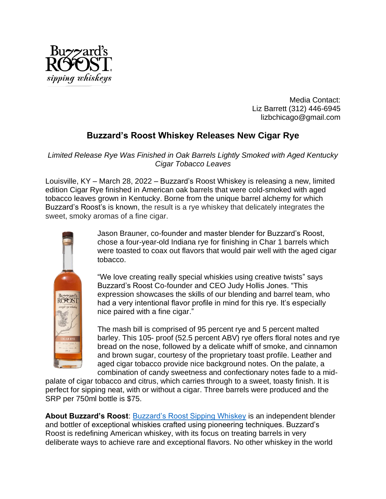

Media Contact: Liz Barrett (312) 446-6945 lizbchicago@gmail.com

## **Buzzard's Roost Whiskey Releases New Cigar Rye**

*Limited Release Rye Was Finished in Oak Barrels Lightly Smoked with Aged Kentucky Cigar Tobacco Leaves*

Louisville, KY – March 28, 2022 – Buzzard's Roost Whiskey is releasing a new, limited edition Cigar Rye finished in American oak barrels that were cold-smoked with aged tobacco leaves grown in Kentucky. Borne from the unique barrel alchemy for which Buzzard's Roost's is known, the result is a rye whiskey that delicately integrates the sweet, smoky aromas of a fine cigar.



Jason Brauner, co-founder and master blender for Buzzard's Roost, chose a four-year-old Indiana rye for finishing in Char 1 barrels which were toasted to coax out flavors that would pair well with the aged cigar tobacco.

"We love creating really special whiskies using creative twists" says Buzzard's Roost Co-founder and CEO Judy Hollis Jones. "This expression showcases the skills of our blending and barrel team, who had a very intentional flavor profile in mind for this rye. It's especially nice paired with a fine cigar."

The mash bill is comprised of 95 percent rye and 5 percent malted barley. This 105- proof (52.5 percent ABV) rye offers floral notes and rye bread on the nose, followed by a delicate whiff of smoke, and cinnamon and brown sugar, courtesy of the proprietary toast profile. Leather and aged cigar tobacco provide nice background notes. On the palate, a combination of candy sweetness and confectionary notes fade to a mid-

palate of cigar tobacco and citrus, which carries through to a sweet, toasty finish. It is perfect for sipping neat, with or without a cigar. Three barrels were produced and the SRP per 750ml bottle is \$75.

**About Buzzard's Roost**: [Buzzard's Roost Sipping Whiskey](https://www.buzzardsroostwhiskey.com/) is an independent blender and bottler of exceptional whiskies crafted using pioneering techniques. Buzzard's Roost is redefining American whiskey, with its focus on treating barrels in very deliberate ways to achieve rare and exceptional flavors. No other whiskey in the world